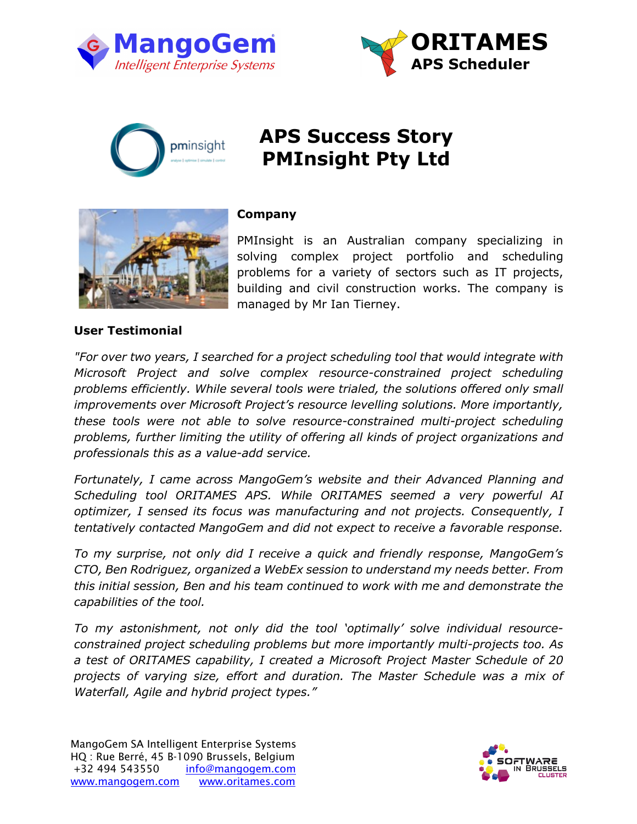





# **APS Success Story PMInsight Pty Ltd**



## **Company**

PMInsight is an Australian company specializing in solving complex project portfolio and scheduling problems for a variety of sectors such as IT projects, building and civil construction works. The company is managed by Mr Ian Tierney.

### **User Testimonial**

*"For over two years, I searched for a project scheduling tool that would integrate with Microsoft Project and solve complex resource-constrained project scheduling problems efficiently. While several tools were trialed, the solutions offered only small improvements over Microsoft Project's resource levelling solutions. More importantly, these tools were not able to solve resource-constrained multi-project scheduling problems, further limiting the utility of offering all kinds of project organizations and professionals this as a value-add service.*

*Fortunately, I came across MangoGem's website and their Advanced Planning and Scheduling tool ORITAMES APS. While ORITAMES seemed a very powerful AI optimizer, I sensed its focus was manufacturing and not projects. Consequently, I tentatively contacted MangoGem and did not expect to receive a favorable response.*

*To my surprise, not only did I receive a quick and friendly response, MangoGem's CTO, Ben Rodriguez, organized a WebEx session to understand my needs better. From this initial session, Ben and his team continued to work with me and demonstrate the capabilities of the tool.*

*To my astonishment, not only did the tool 'optimally' solve individual resourceconstrained project scheduling problems but more importantly multi-projects too. As a test of ORITAMES capability, I created a Microsoft Project Master Schedule of 20 projects of varying size, effort and duration. The Master Schedule was a mix of Waterfall, Agile and hybrid project types."*